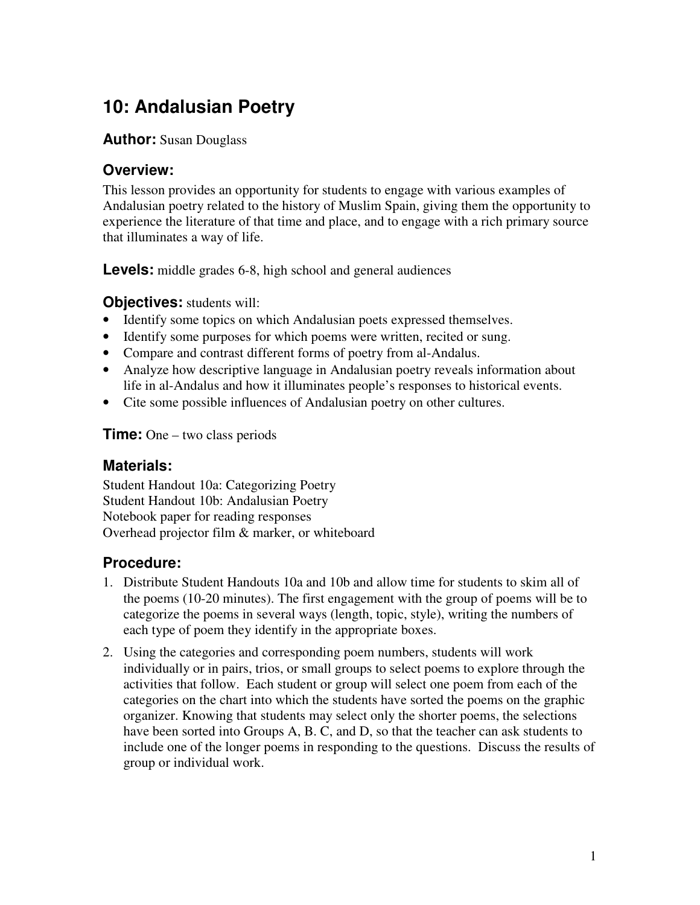# **10: Andalusian Poetry**

#### **Author:** Susan Douglass

#### **Overview:**

This lesson provides an opportunity for students to engage with various examples of Andalusian poetry related to the history of Muslim Spain, giving them the opportunity to experience the literature of that time and place, and to engage with a rich primary source that illuminates a way of life.

**Levels:** middle grades 6-8, high school and general audiences

#### **Objectives:** students will:

- Identify some topics on which Andalusian poets expressed themselves.
- Identify some purposes for which poems were written, recited or sung.
- Compare and contrast different forms of poetry from al-Andalus.
- Analyze how descriptive language in Andalusian poetry reveals information about life in al-Andalus and how it illuminates people's responses to historical events.
- Cite some possible influences of Andalusian poetry on other cultures.

**Time:** One – two class periods

#### **Materials:**

Student Handout 10a: Categorizing Poetry Student Handout 10b: Andalusian Poetry Notebook paper for reading responses Overhead projector film & marker, or whiteboard

#### **Procedure:**

- 1. Distribute Student Handouts 10a and 10b and allow time for students to skim all of the poems (10-20 minutes). The first engagement with the group of poems will be to categorize the poems in several ways (length, topic, style), writing the numbers of each type of poem they identify in the appropriate boxes.
- 2. Using the categories and corresponding poem numbers, students will work individually or in pairs, trios, or small groups to select poems to explore through the activities that follow. Each student or group will select one poem from each of the categories on the chart into which the students have sorted the poems on the graphic organizer. Knowing that students may select only the shorter poems, the selections have been sorted into Groups A, B. C, and D, so that the teacher can ask students to include one of the longer poems in responding to the questions. Discuss the results of group or individual work.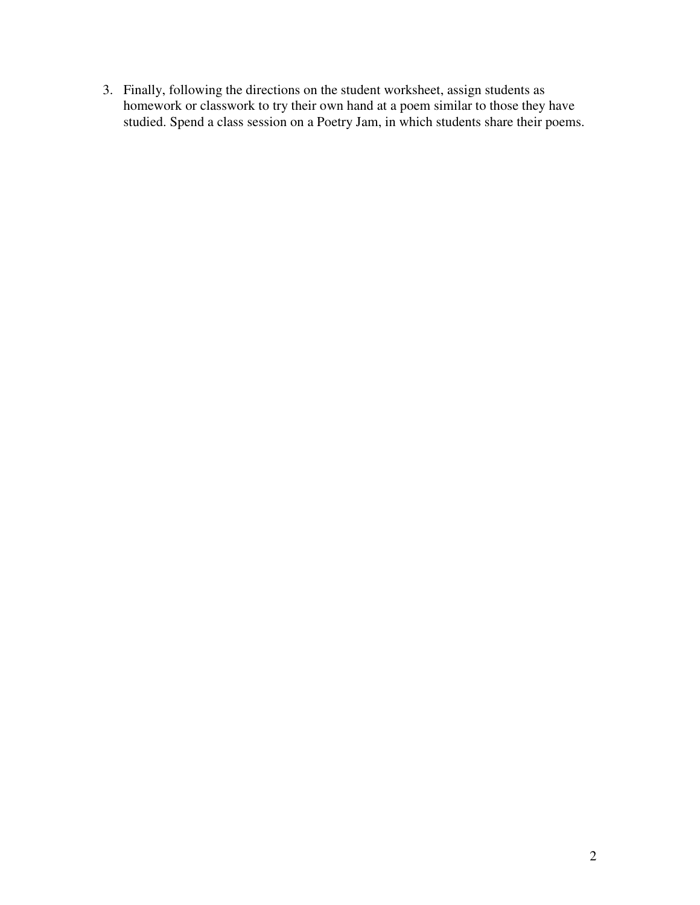3. Finally, following the directions on the student worksheet, assign students as homework or classwork to try their own hand at a poem similar to those they have studied. Spend a class session on a Poetry Jam, in which students share their poems.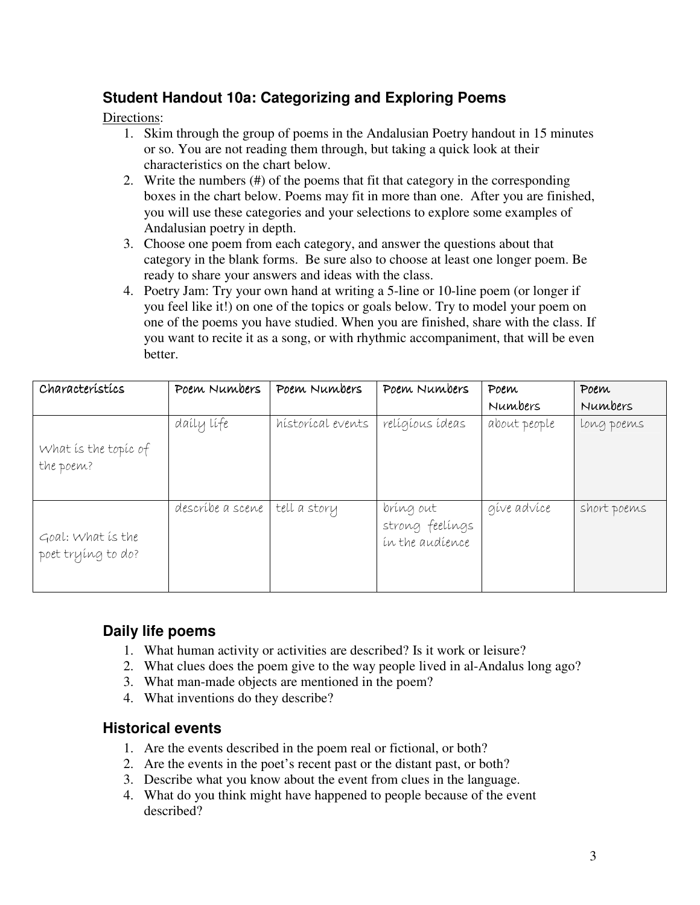### **Student Handout 10a: Categorizing and Exploring Poems**

Directions:

- 1. Skim through the group of poems in the Andalusian Poetry handout in 15 minutes or so. You are not reading them through, but taking a quick look at their characteristics on the chart below.
- 2. Write the numbers (#) of the poems that fit that category in the corresponding boxes in the chart below. Poems may fit in more than one. After you are finished, you will use these categories and your selections to explore some examples of Andalusian poetry in depth.
- 3. Choose one poem from each category, and answer the questions about that category in the blank forms. Be sure also to choose at least one longer poem. Be ready to share your answers and ideas with the class.
- 4. Poetry Jam: Try your own hand at writing a 5-line or 10-line poem (or longer if you feel like it!) on one of the topics or goals below. Try to model your poem on one of the poems you have studied. When you are finished, share with the class. If you want to recite it as a song, or with rhythmic accompaniment, that will be even better.

| Characterístics                         | Poem Numbers     | Poem Numbers      | Poem Numbers                                    | Poem         | Poem        |
|-----------------------------------------|------------------|-------------------|-------------------------------------------------|--------------|-------------|
|                                         |                  |                   |                                                 | Numbers      | Numbers     |
| What is the topic of<br>the poem?       | daily life       | historical events | relígious ideas                                 | about people | Long poems  |
| Goal: What is the<br>poet trying to do? | describe a scene | tell a story      | bríng out<br>strong feelings<br>in the audience | give advice  | short poems |

#### **Daily life poems**

- 1. What human activity or activities are described? Is it work or leisure?
- 2. What clues does the poem give to the way people lived in al-Andalus long ago?
- 3. What man-made objects are mentioned in the poem?
- 4. What inventions do they describe?

#### **Historical events**

- 1. Are the events described in the poem real or fictional, or both?
- 2. Are the events in the poet's recent past or the distant past, or both?
- 3. Describe what you know about the event from clues in the language.
- 4. What do you think might have happened to people because of the event described?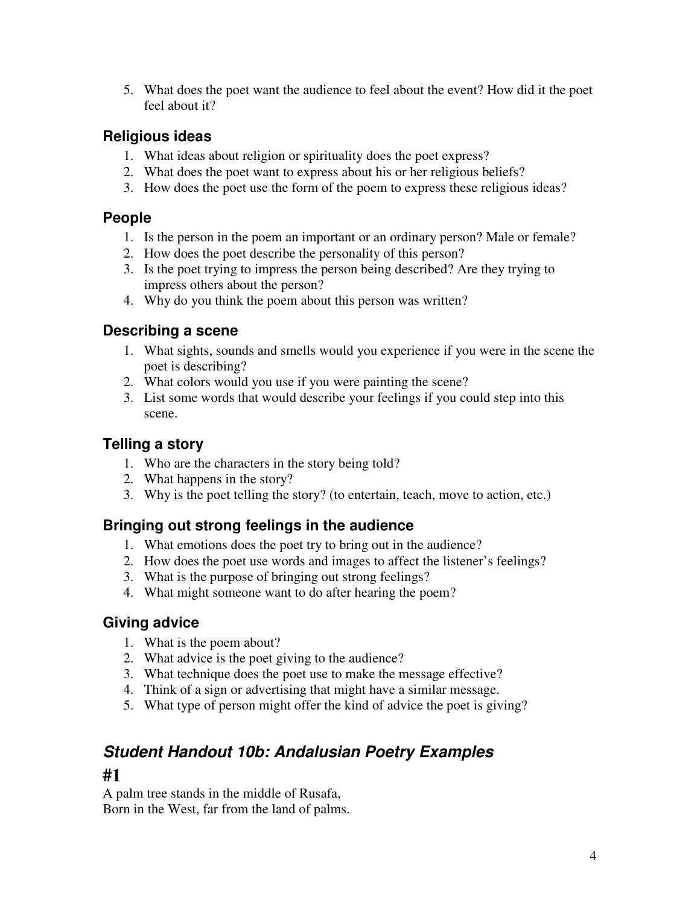5. What does the poet want the audience to feel about the event? How did it the poet feel about it?

#### **Religious ideas**

- 1. What ideas about religion or spirituality does the poet express?
- 2. What does the poet want to express about his or her religious beliefs?
- 3. How does the poet use the form of the poem to express these religious ideas?

#### **People**

- 1. Is the person in the poem an important or an ordinary person? Male or female?
- 2. How does the poet describe the personality of this person?
- 3. Is the poet trying to impress the person being described? Are they trying to impress others about the person?
- 4. Why do you think the poem about this person was written?

#### **Describing a scene**

- 1. What sights, sounds and smells would you experience if you were in the scene the poet is describing?
- 2. What colors would you use if you were painting the scene?
- 3. List some words that would describe your feelings if you could step into this scene.

### **Telling a story**

- 1. Who are the characters in the story being told?
- 2. What happens in the story?
- 3. Why is the poet telling the story? (to entertain, teach, move to action, etc.)

#### **Bringing out strong feelings in the audience**

- 1. What emotions does the poet try to bring out in the audience?
- 2. How does the poet use words and images to affect the listener's feelings?
- 3. What is the purpose of bringing out strong feelings?
- 4. What might someone want to do after hearing the poem?

#### **Giving advice**

- 1. What is the poem about?
- 2. What advice is the poet giving to the audience?
- 3. What technique does the poet use to make the message effective?
- 4. Think of a sign or advertising that might have a similar message.
- 5. What type of person might offer the kind of advice the poet is giving?

## **Student Handout 10b: Andalusian Poetry Examples**

#### **#1**

A palm tree stands in the middle of Rusafa, Born in the West, far from the land of palms.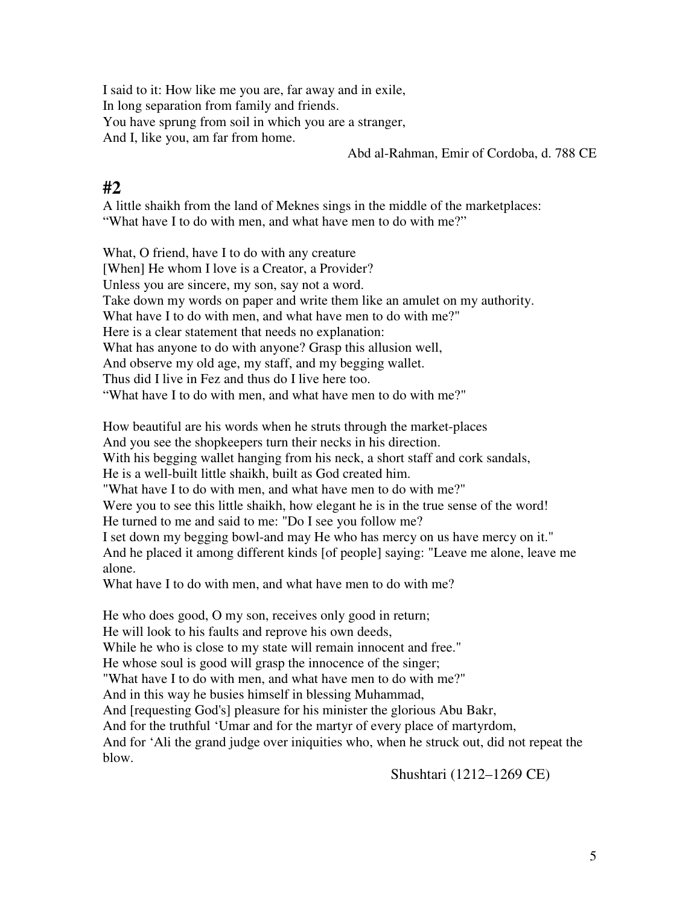I said to it: How like me you are, far away and in exile, In long separation from family and friends. You have sprung from soil in which you are a stranger, And I, like you, am far from home.

Abd al-Rahman, Emir of Cordoba, d. 788 CE

### **#2**

A little shaikh from the land of Meknes sings in the middle of the marketplaces: "What have I to do with men, and what have men to do with me?"

What, O friend, have I to do with any creature [When] He whom I love is a Creator, a Provider? Unless you are sincere, my son, say not a word. Take down my words on paper and write them like an amulet on my authority. What have I to do with men, and what have men to do with me?" Here is a clear statement that needs no explanation: What has anyone to do with anyone? Grasp this allusion well, And observe my old age, my staff, and my begging wallet. Thus did I live in Fez and thus do I live here too. "What have I to do with men, and what have men to do with me?"

How beautiful are his words when he struts through the market-places And you see the shopkeepers turn their necks in his direction. With his begging wallet hanging from his neck, a short staff and cork sandals, He is a well-built little shaikh, built as God created him. "What have I to do with men, and what have men to do with me?" Were you to see this little shaikh, how elegant he is in the true sense of the word! He turned to me and said to me: "Do I see you follow me? I set down my begging bowl-and may He who has mercy on us have mercy on it." And he placed it among different kinds [of people] saying: "Leave me alone, leave me alone.

What have I to do with men, and what have men to do with me?

He who does good, O my son, receives only good in return; He will look to his faults and reprove his own deeds, While he who is close to my state will remain innocent and free." He whose soul is good will grasp the innocence of the singer; "What have I to do with men, and what have men to do with me?" And in this way he busies himself in blessing Muhammad, And [requesting God's] pleasure for his minister the glorious Abu Bakr, And for the truthful 'Umar and for the martyr of every place of martyrdom, And for 'Ali the grand judge over iniquities who, when he struck out, did not repeat the blow.

Shushtari (1212–1269 CE)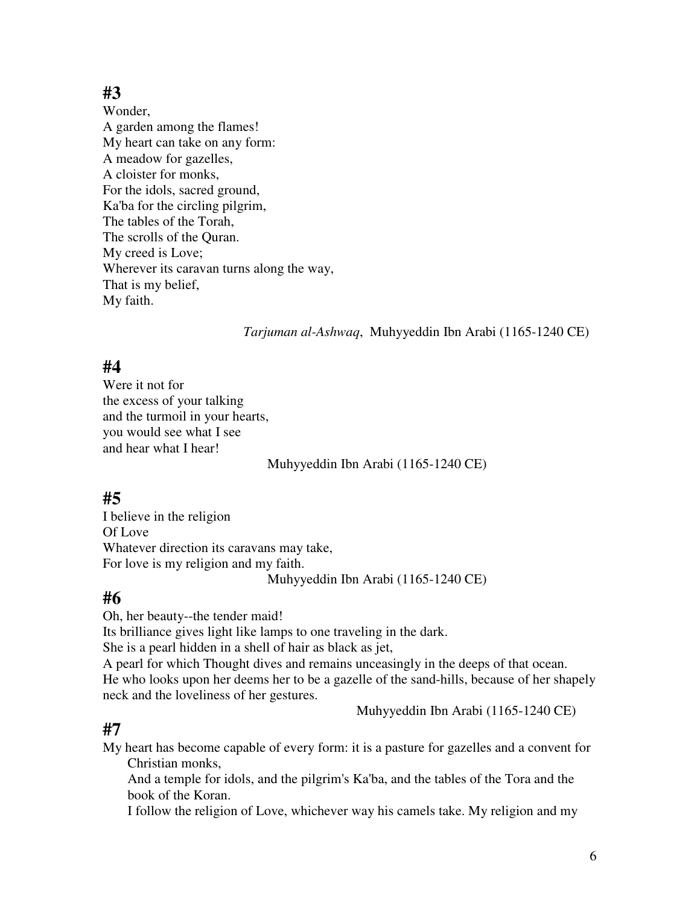#### **#3**

Wonder, A garden among the flames! My heart can take on any form: A meadow for gazelles, A cloister for monks, For the idols, sacred ground, Ka'ba for the circling pilgrim, The tables of the Torah, The scrolls of the Quran. My creed is Love; Wherever its caravan turns along the way, That is my belief, My faith.

 *Tarjuman al-Ashwaq*, Muhyyeddin Ibn Arabi (1165-1240 CE)

### **#4**

Were it not for the excess of your talking and the turmoil in your hearts, you would see what I see and hear what I hear! Muhyyeddin Ibn Arabi (1165-1240 CE)

### **#5**

I believe in the religion Of Love Whatever direction its caravans may take, For love is my religion and my faith. Muhyyeddin Ibn Arabi (1165-1240 CE)

## **#6**

Oh, her beauty--the tender maid! Its brilliance gives light like lamps to one traveling in the dark. She is a pearl hidden in a shell of hair as black as jet, A pearl for which Thought dives and remains unceasingly in the deeps of that ocean. He who looks upon her deems her to be a gazelle of the sand-hills, because of her shapely neck and the loveliness of her gestures.

Muhyyeddin Ibn Arabi (1165-1240 CE)

## **#7**

My heart has become capable of every form: it is a pasture for gazelles and a convent for Christian monks,

And a temple for idols, and the pilgrim's Ka'ba, and the tables of the Tora and the book of the Koran.

I follow the religion of Love, whichever way his camels take. My religion and my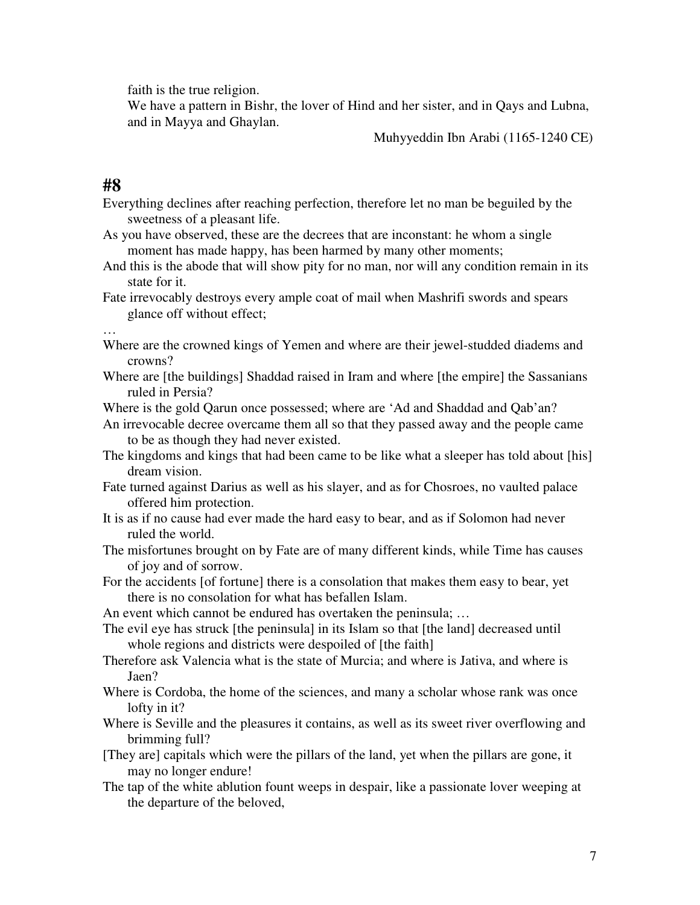faith is the true religion.

We have a pattern in Bishr, the lover of Hind and her sister, and in Qays and Lubna, and in Mayya and Ghaylan.

Muhyyeddin Ibn Arabi (1165-1240 CE)

#### **#8**

Everything declines after reaching perfection, therefore let no man be beguiled by the sweetness of a pleasant life.

As you have observed, these are the decrees that are inconstant: he whom a single moment has made happy, has been harmed by many other moments;

And this is the abode that will show pity for no man, nor will any condition remain in its state for it.

Fate irrevocably destroys every ample coat of mail when Mashrifi swords and spears glance off without effect;

…

- Where are the crowned kings of Yemen and where are their jewel-studded diadems and crowns?
- Where are [the buildings] Shaddad raised in Iram and where [the empire] the Sassanians ruled in Persia?

Where is the gold Qarun once possessed; where are 'Ad and Shaddad and Qab'an?

An irrevocable decree overcame them all so that they passed away and the people came to be as though they had never existed.

The kingdoms and kings that had been came to be like what a sleeper has told about [his] dream vision.

- Fate turned against Darius as well as his slayer, and as for Chosroes, no vaulted palace offered him protection.
- It is as if no cause had ever made the hard easy to bear, and as if Solomon had never ruled the world.
- The misfortunes brought on by Fate are of many different kinds, while Time has causes of joy and of sorrow.

For the accidents [of fortune] there is a consolation that makes them easy to bear, yet there is no consolation for what has befallen Islam.

An event which cannot be endured has overtaken the peninsula; …

The evil eye has struck [the peninsula] in its Islam so that [the land] decreased until whole regions and districts were despoiled of [the faith]

- Therefore ask Valencia what is the state of Murcia; and where is Jativa, and where is Jaen?
- Where is Cordoba, the home of the sciences, and many a scholar whose rank was once lofty in it?
- Where is Seville and the pleasures it contains, as well as its sweet river overflowing and brimming full?
- [They are] capitals which were the pillars of the land, yet when the pillars are gone, it may no longer endure!
- The tap of the white ablution fount weeps in despair, like a passionate lover weeping at the departure of the beloved,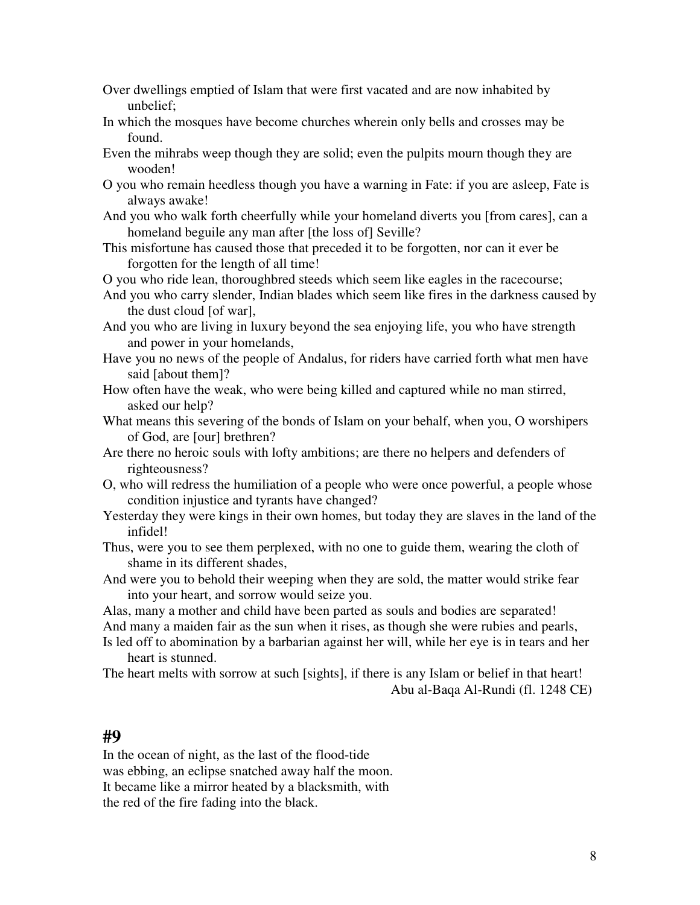- Over dwellings emptied of Islam that were first vacated and are now inhabited by unbelief;
- In which the mosques have become churches wherein only bells and crosses may be found.
- Even the mihrabs weep though they are solid; even the pulpits mourn though they are wooden!
- O you who remain heedless though you have a warning in Fate: if you are asleep, Fate is always awake!
- And you who walk forth cheerfully while your homeland diverts you [from cares], can a homeland beguile any man after [the loss of] Seville?
- This misfortune has caused those that preceded it to be forgotten, nor can it ever be forgotten for the length of all time!
- O you who ride lean, thoroughbred steeds which seem like eagles in the racecourse;
- And you who carry slender, Indian blades which seem like fires in the darkness caused by the dust cloud [of war],
- And you who are living in luxury beyond the sea enjoying life, you who have strength and power in your homelands,
- Have you no news of the people of Andalus, for riders have carried forth what men have said [about them]?
- How often have the weak, who were being killed and captured while no man stirred, asked our help?
- What means this severing of the bonds of Islam on your behalf, when you, O worshipers of God, are [our] brethren?
- Are there no heroic souls with lofty ambitions; are there no helpers and defenders of righteousness?
- O, who will redress the humiliation of a people who were once powerful, a people whose condition injustice and tyrants have changed?
- Yesterday they were kings in their own homes, but today they are slaves in the land of the infidel!
- Thus, were you to see them perplexed, with no one to guide them, wearing the cloth of shame in its different shades,
- And were you to behold their weeping when they are sold, the matter would strike fear into your heart, and sorrow would seize you.

Alas, many a mother and child have been parted as souls and bodies are separated! And many a maiden fair as the sun when it rises, as though she were rubies and pearls,

Is led off to abomination by a barbarian against her will, while her eye is in tears and her heart is stunned.

The heart melts with sorrow at such [sights], if there is any Islam or belief in that heart! Abu al-Baqa Al-Rundi (fl. 1248 CE)

#### **#9**

In the ocean of night, as the last of the flood-tide was ebbing, an eclipse snatched away half the moon. It became like a mirror heated by a blacksmith, with the red of the fire fading into the black.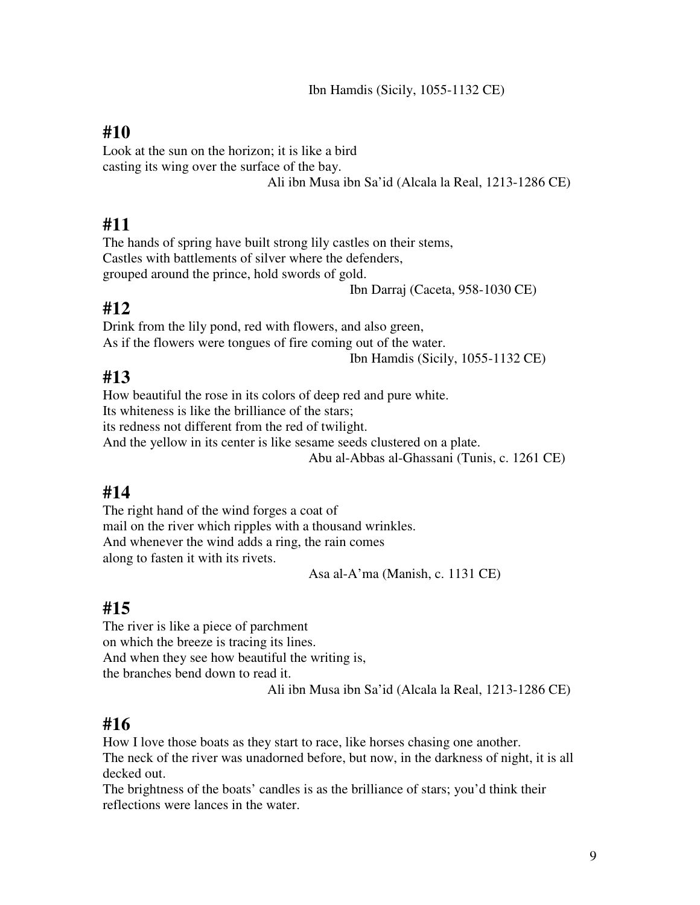#### **#10**

Look at the sun on the horizon; it is like a bird casting its wing over the surface of the bay. Ali ibn Musa ibn Sa'id (Alcala la Real, 1213-1286 CE)

### **#11**

The hands of spring have built strong lily castles on their stems, Castles with battlements of silver where the defenders, grouped around the prince, hold swords of gold.

Ibn Darraj (Caceta, 958-1030 CE)

### **#12**

Drink from the lily pond, red with flowers, and also green,

As if the flowers were tongues of fire coming out of the water.

Ibn Hamdis (Sicily, 1055-1132 CE)

### **#13**

How beautiful the rose in its colors of deep red and pure white. Its whiteness is like the brilliance of the stars; its redness not different from the red of twilight. And the yellow in its center is like sesame seeds clustered on a plate.

Abu al-Abbas al-Ghassani (Tunis, c. 1261 CE)

## **#14**

The right hand of the wind forges a coat of mail on the river which ripples with a thousand wrinkles. And whenever the wind adds a ring, the rain comes along to fasten it with its rivets.

Asa al-A'ma (Manish, c. 1131 CE)

## **#15**

The river is like a piece of parchment on which the breeze is tracing its lines. And when they see how beautiful the writing is, the branches bend down to read it.

Ali ibn Musa ibn Sa'id (Alcala la Real, 1213-1286 CE)

## **#16**

How I love those boats as they start to race, like horses chasing one another. The neck of the river was unadorned before, but now, in the darkness of night, it is all decked out.

The brightness of the boats' candles is as the brilliance of stars; you'd think their reflections were lances in the water.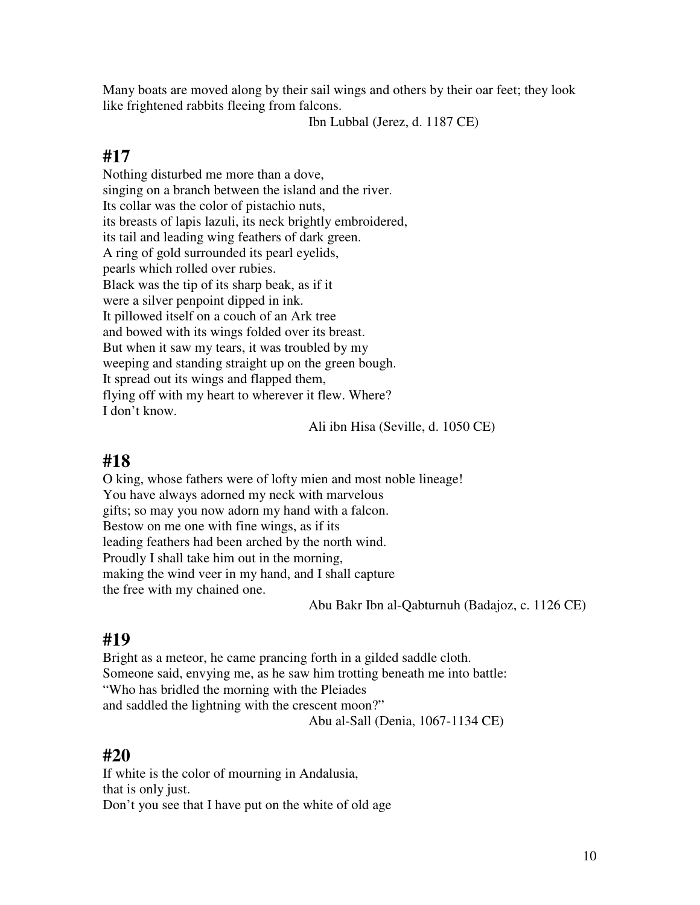Many boats are moved along by their sail wings and others by their oar feet; they look like frightened rabbits fleeing from falcons.

Ibn Lubbal (Jerez, d. 1187 CE)

### **#17**

Nothing disturbed me more than a dove, singing on a branch between the island and the river. Its collar was the color of pistachio nuts, its breasts of lapis lazuli, its neck brightly embroidered, its tail and leading wing feathers of dark green. A ring of gold surrounded its pearl eyelids, pearls which rolled over rubies. Black was the tip of its sharp beak, as if it were a silver penpoint dipped in ink. It pillowed itself on a couch of an Ark tree and bowed with its wings folded over its breast. But when it saw my tears, it was troubled by my weeping and standing straight up on the green bough. It spread out its wings and flapped them, flying off with my heart to wherever it flew. Where? I don't know.

Ali ibn Hisa (Seville, d. 1050 CE)

#### **#18**

O king, whose fathers were of lofty mien and most noble lineage! You have always adorned my neck with marvelous gifts; so may you now adorn my hand with a falcon. Bestow on me one with fine wings, as if its leading feathers had been arched by the north wind. Proudly I shall take him out in the morning, making the wind veer in my hand, and I shall capture the free with my chained one.

Abu Bakr Ibn al-Qabturnuh (Badajoz, c. 1126 CE)

## **#19**

Bright as a meteor, he came prancing forth in a gilded saddle cloth. Someone said, envying me, as he saw him trotting beneath me into battle: "Who has bridled the morning with the Pleiades and saddled the lightning with the crescent moon?"

Abu al-Sall (Denia, 1067-1134 CE)

### **#20**

If white is the color of mourning in Andalusia, that is only just. Don't you see that I have put on the white of old age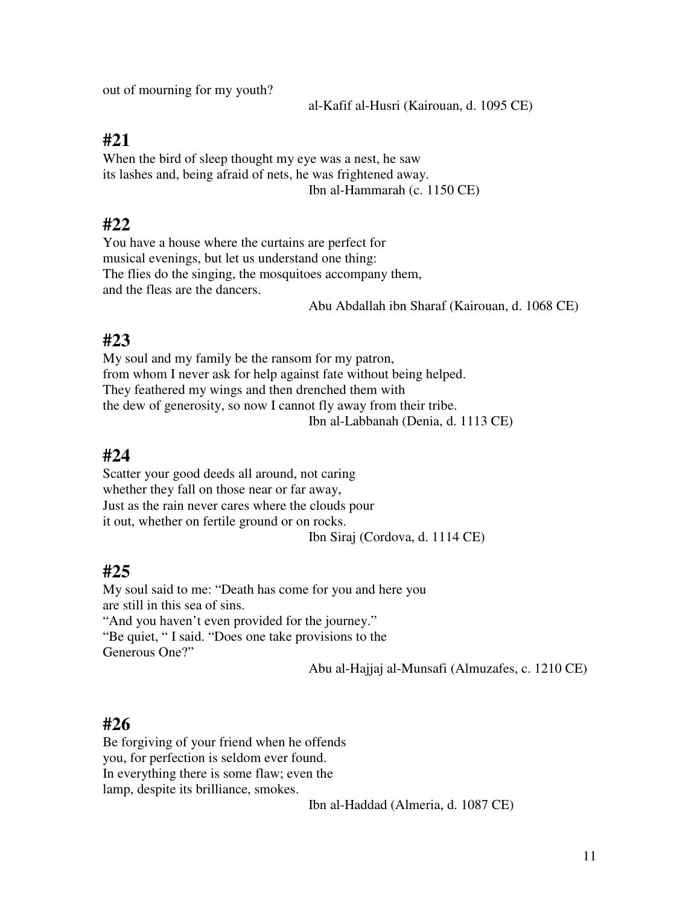out of mourning for my youth?

al-Kafif al-Husri (Kairouan, d. 1095 CE)

## **#21**

When the bird of sleep thought my eye was a nest, he saw its lashes and, being afraid of nets, he was frightened away. Ibn al-Hammarah (c. 1150 CE)

### **#22**

You have a house where the curtains are perfect for musical evenings, but let us understand one thing: The flies do the singing, the mosquitoes accompany them, and the fleas are the dancers.

Abu Abdallah ibn Sharaf (Kairouan, d. 1068 CE)

## **#23**

My soul and my family be the ransom for my patron, from whom I never ask for help against fate without being helped. They feathered my wings and then drenched them with the dew of generosity, so now I cannot fly away from their tribe.

Ibn al-Labbanah (Denia, d. 1113 CE)

### **#24**

Scatter your good deeds all around, not caring whether they fall on those near or far away, Just as the rain never cares where the clouds pour it out, whether on fertile ground or on rocks.

Ibn Siraj (Cordova, d. 1114 CE)

## **#25**

My soul said to me: "Death has come for you and here you are still in this sea of sins. "And you haven't even provided for the journey." "Be quiet, " I said. "Does one take provisions to the

Generous One?"

Abu al-Hajjaj al-Munsafi (Almuzafes, c. 1210 CE)

## **#26**

Be forgiving of your friend when he offends you, for perfection is seldom ever found. In everything there is some flaw; even the lamp, despite its brilliance, smokes.

Ibn al-Haddad (Almeria, d. 1087 CE)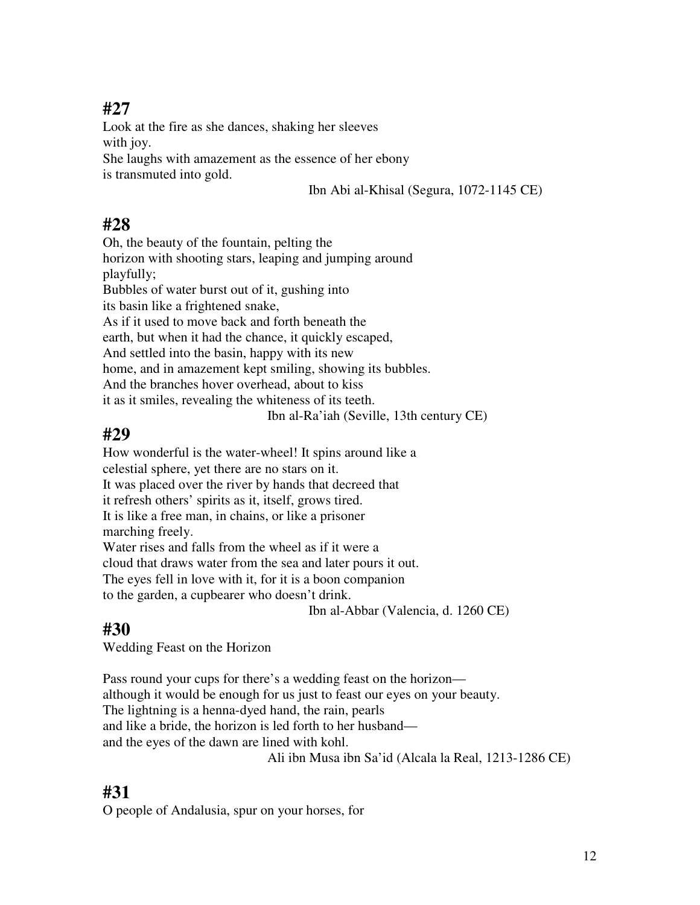## **#27**

Look at the fire as she dances, shaking her sleeves with joy. She laughs with amazement as the essence of her ebony is transmuted into gold.

Ibn Abi al-Khisal (Segura, 1072-1145 CE)

### **#28**

Oh, the beauty of the fountain, pelting the horizon with shooting stars, leaping and jumping around playfully; Bubbles of water burst out of it, gushing into its basin like a frightened snake, As if it used to move back and forth beneath the earth, but when it had the chance, it quickly escaped, And settled into the basin, happy with its new home, and in amazement kept smiling, showing its bubbles. And the branches hover overhead, about to kiss it as it smiles, revealing the whiteness of its teeth.

Ibn al-Ra'iah (Seville, 13th century CE)

## **#29**

How wonderful is the water-wheel! It spins around like a celestial sphere, yet there are no stars on it. It was placed over the river by hands that decreed that it refresh others' spirits as it, itself, grows tired. It is like a free man, in chains, or like a prisoner marching freely. Water rises and falls from the wheel as if it were a cloud that draws water from the sea and later pours it out. The eyes fell in love with it, for it is a boon companion to the garden, a cupbearer who doesn't drink.

Ibn al-Abbar (Valencia, d. 1260 CE)

## **#30**

Wedding Feast on the Horizon

Pass round your cups for there's a wedding feast on the horizon although it would be enough for us just to feast our eyes on your beauty. The lightning is a henna-dyed hand, the rain, pearls and like a bride, the horizon is led forth to her husband and the eyes of the dawn are lined with kohl.

Ali ibn Musa ibn Sa'id (Alcala la Real, 1213-1286 CE)

## **#31**

O people of Andalusia, spur on your horses, for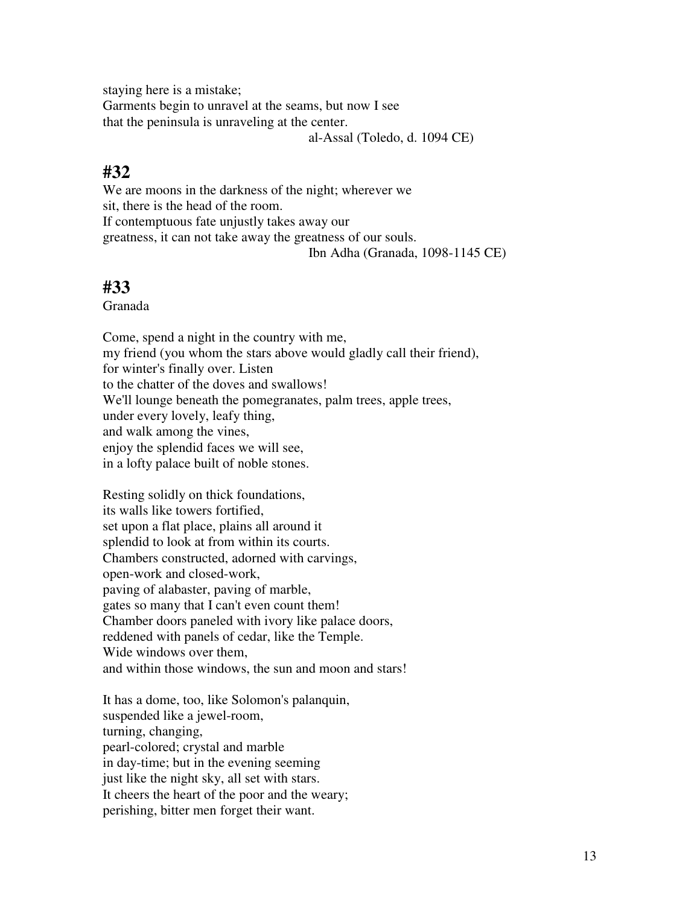staying here is a mistake;

Garments begin to unravel at the seams, but now I see that the peninsula is unraveling at the center.

al-Assal (Toledo, d. 1094 CE)

## **#32**

We are moons in the darkness of the night; wherever we sit, there is the head of the room. If contemptuous fate unjustly takes away our greatness, it can not take away the greatness of our souls. Ibn Adha (Granada, 1098-1145 CE)

### **#33**

Granada

Come, spend a night in the country with me, my friend (you whom the stars above would gladly call their friend), for winter's finally over. Listen to the chatter of the doves and swallows! We'll lounge beneath the pomegranates, palm trees, apple trees, under every lovely, leafy thing, and walk among the vines, enjoy the splendid faces we will see, in a lofty palace built of noble stones.

Resting solidly on thick foundations, its walls like towers fortified, set upon a flat place, plains all around it splendid to look at from within its courts. Chambers constructed, adorned with carvings, open-work and closed-work, paving of alabaster, paving of marble, gates so many that I can't even count them! Chamber doors paneled with ivory like palace doors, reddened with panels of cedar, like the Temple. Wide windows over them, and within those windows, the sun and moon and stars!

It has a dome, too, like Solomon's palanquin, suspended like a jewel-room, turning, changing, pearl-colored; crystal and marble in day-time; but in the evening seeming just like the night sky, all set with stars. It cheers the heart of the poor and the weary; perishing, bitter men forget their want.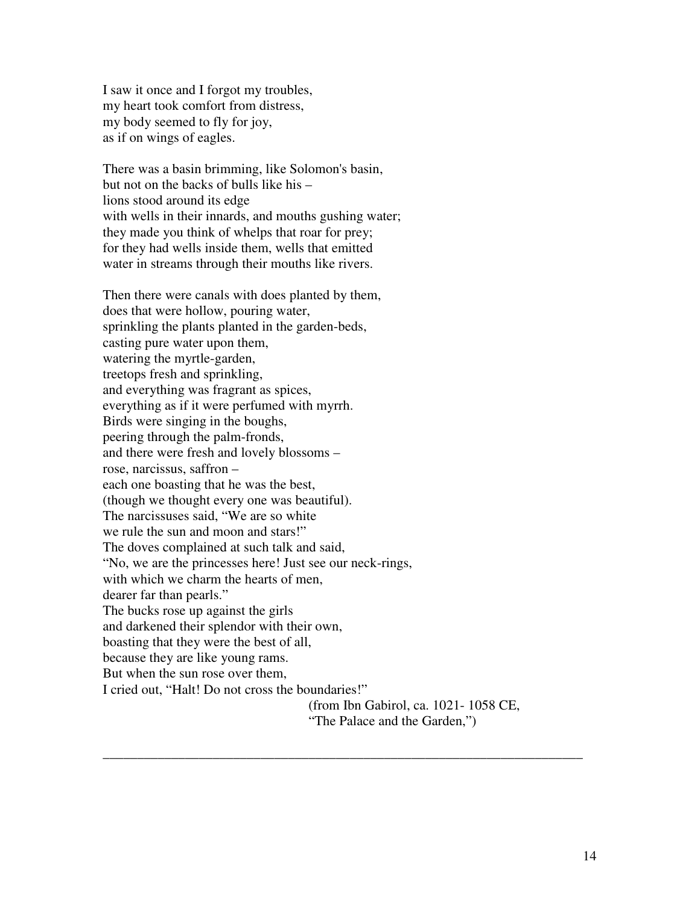I saw it once and I forgot my troubles, my heart took comfort from distress, my body seemed to fly for joy, as if on wings of eagles.

There was a basin brimming, like Solomon's basin, but not on the backs of bulls like his – lions stood around its edge with wells in their innards, and mouths gushing water; they made you think of whelps that roar for prey; for they had wells inside them, wells that emitted water in streams through their mouths like rivers.

Then there were canals with does planted by them, does that were hollow, pouring water, sprinkling the plants planted in the garden-beds, casting pure water upon them, watering the myrtle-garden, treetops fresh and sprinkling, and everything was fragrant as spices, everything as if it were perfumed with myrrh. Birds were singing in the boughs, peering through the palm-fronds, and there were fresh and lovely blossoms – rose, narcissus, saffron – each one boasting that he was the best, (though we thought every one was beautiful). The narcissuses said, "We are so white we rule the sun and moon and stars!" The doves complained at such talk and said, "No, we are the princesses here! Just see our neck-rings, with which we charm the hearts of men. dearer far than pearls." The bucks rose up against the girls and darkened their splendor with their own, boasting that they were the best of all, because they are like young rams. But when the sun rose over them, I cried out, "Halt! Do not cross the boundaries!" (from Ibn Gabirol, ca. 1021- 1058 CE, "The Palace and the Garden,")

\_\_\_\_\_\_\_\_\_\_\_\_\_\_\_\_\_\_\_\_\_\_\_\_\_\_\_\_\_\_\_\_\_\_\_\_\_\_\_\_\_\_\_\_\_\_\_\_\_\_\_\_\_\_\_\_\_\_\_\_\_\_\_\_\_\_\_\_\_\_